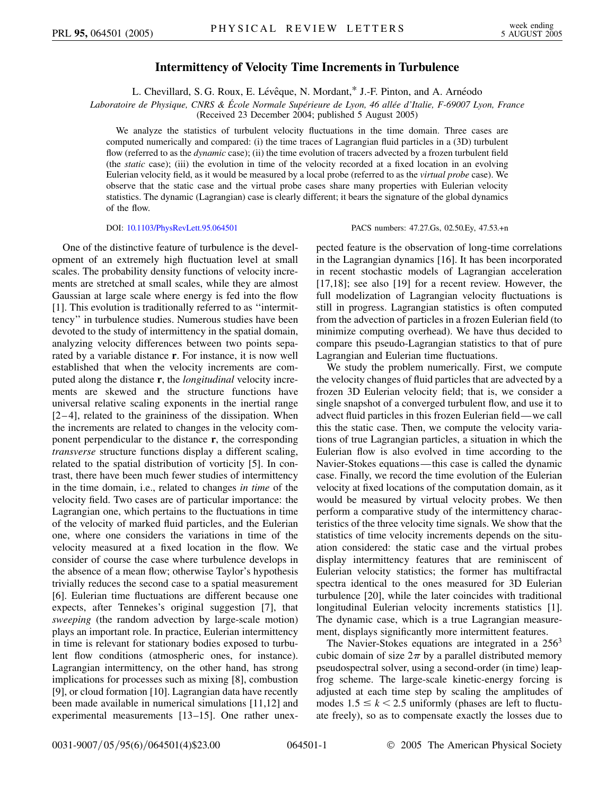## **Intermittency of Velocity Time Increments in Turbulence**

L. Chevillard, S. G. Roux, E. Lévêque, N. Mordant,\* J.-F. Pinton, and A. Arnéodo

*Laboratoire de Physique, CNRS & E´ cole Normale Supe´rieure de Lyon, 46 alle´e d'Italie, F-69007 Lyon, France*

(Received 23 December 2004; published 5 August 2005)

We analyze the statistics of turbulent velocity fluctuations in the time domain. Three cases are computed numerically and compared: (i) the time traces of Lagrangian fluid particles in a (3D) turbulent flow (referred to as the *dynamic* case); (ii) the time evolution of tracers advected by a frozen turbulent field (the *static* case); (iii) the evolution in time of the velocity recorded at a fixed location in an evolving Eulerian velocity field, as it would be measured by a local probe (referred to as the *virtual probe* case). We observe that the static case and the virtual probe cases share many properties with Eulerian velocity statistics. The dynamic (Lagrangian) case is clearly different; it bears the signature of the global dynamics of the flow.

One of the distinctive feature of turbulence is the development of an extremely high fluctuation level at small scales. The probability density functions of velocity increments are stretched at small scales, while they are almost Gaussian at large scale where energy is fed into the flow [1]. This evolution is traditionally referred to as ''intermittency'' in turbulence studies. Numerous studies have been devoted to the study of intermittency in the spatial domain, analyzing velocity differences between two points separated by a variable distance **r**. For instance, it is now well established that when the velocity increments are computed along the distance **r**, the *longitudinal* velocity increments are skewed and the structure functions have universal relative scaling exponents in the inertial range  $[2-4]$ , related to the graininess of the dissipation. When the increments are related to changes in the velocity component perpendicular to the distance **r**, the corresponding *transverse* structure functions display a different scaling, related to the spatial distribution of vorticity [5]. In contrast, there have been much fewer studies of intermittency in the time domain, i.e., related to changes *in time* of the velocity field. Two cases are of particular importance: the Lagrangian one, which pertains to the fluctuations in time of the velocity of marked fluid particles, and the Eulerian one, where one considers the variations in time of the velocity measured at a fixed location in the flow. We consider of course the case where turbulence develops in the absence of a mean flow; otherwise Taylor's hypothesis trivially reduces the second case to a spatial measurement [6]. Eulerian time fluctuations are different because one expects, after Tennekes's original suggestion [7], that *sweeping* (the random advection by large-scale motion) plays an important role. In practice, Eulerian intermittency in time is relevant for stationary bodies exposed to turbulent flow conditions (atmospheric ones, for instance). Lagrangian intermittency, on the other hand, has strong implications for processes such as mixing [8], combustion [9], or cloud formation [10]. Lagrangian data have recently been made available in numerical simulations [11,12] and experimental measurements [13–15]. One rather unex-

DOI: [10.1103/PhysRevLett.95.064501](http://dx.doi.org/10.1103/PhysRevLett.95.064501) PACS numbers: 47.27.Gs, 02.50.Ey, 47.53.+n

pected feature is the observation of long-time correlations in the Lagrangian dynamics [16]. It has been incorporated in recent stochastic models of Lagrangian acceleration [17,18]; see also [19] for a recent review. However, the full modelization of Lagrangian velocity fluctuations is still in progress. Lagrangian statistics is often computed from the advection of particles in a frozen Eulerian field (to minimize computing overhead). We have thus decided to compare this pseudo-Lagrangian statistics to that of pure Lagrangian and Eulerian time fluctuations.

We study the problem numerically. First, we compute the velocity changes of fluid particles that are advected by a frozen 3D Eulerian velocity field; that is, we consider a single snapshot of a converged turbulent flow, and use it to advect fluid particles in this frozen Eulerian field—we call this the static case. Then, we compute the velocity variations of true Lagrangian particles, a situation in which the Eulerian flow is also evolved in time according to the Navier-Stokes equations—this case is called the dynamic case. Finally, we record the time evolution of the Eulerian velocity at fixed locations of the computation domain, as it would be measured by virtual velocity probes. We then perform a comparative study of the intermittency characteristics of the three velocity time signals. We show that the statistics of time velocity increments depends on the situation considered: the static case and the virtual probes display intermittency features that are reminiscent of Eulerian velocity statistics; the former has multifractal spectra identical to the ones measured for 3D Eulerian turbulence [20], while the later coincides with traditional longitudinal Eulerian velocity increments statistics [1]. The dynamic case, which is a true Lagrangian measurement, displays significantly more intermittent features.

The Navier-Stokes equations are integrated in a 256<sup>3</sup> cubic domain of size  $2\pi$  by a parallel distributed memory pseudospectral solver, using a second-order (in time) leapfrog scheme. The large-scale kinetic-energy forcing is adjusted at each time step by scaling the amplitudes of modes  $1.5 \leq k < 2.5$  uniformly (phases are left to fluctuate freely), so as to compensate exactly the losses due to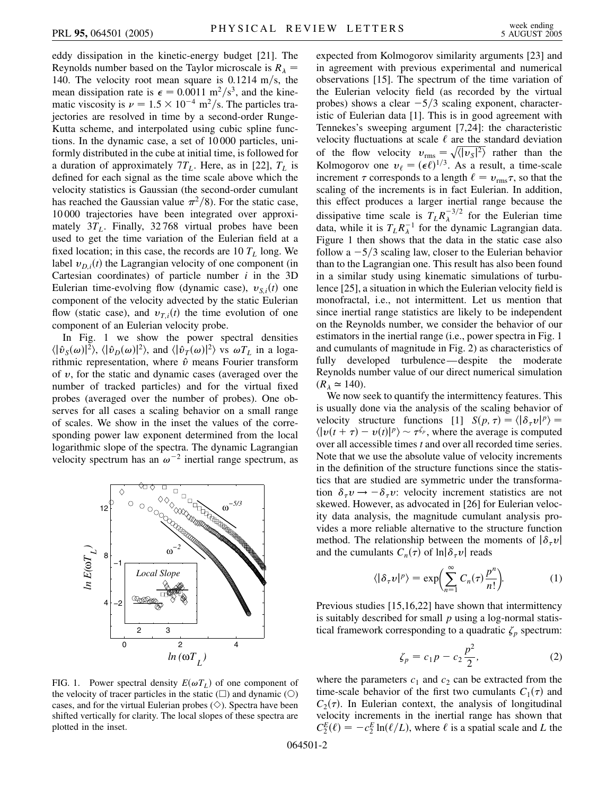eddy dissipation in the kinetic-energy budget [21]. The Reynolds number based on the Taylor microscale is  $R_{\lambda}$  = 140. The velocity root mean square is 0.1214 m/s, the mean dissipation rate is  $\epsilon = 0.0011 \text{ m}^2/\text{s}^3$ , and the kinematic viscosity is  $\nu = 1.5 \times 10^{-4}$  m<sup>2</sup>/s. The particles trajectories are resolved in time by a second-order Runge-Kutta scheme, and interpolated using cubic spline functions. In the dynamic case, a set of 10 000 particles, uniformly distributed in the cube at initial time, is followed for a duration of approximately  $7T_L$ . Here, as in [22],  $T_L$  is defined for each signal as the time scale above which the velocity statistics is Gaussian (the second-order cumulant has reached the Gaussian value  $\pi^2/8$ ). For the static case, 10 000 trajectories have been integrated over approximately  $3T<sub>L</sub>$ . Finally,  $32768$  virtual probes have been used to get the time variation of the Eulerian field at a fixed location; in this case, the records are  $10 T<sub>L</sub>$  long. We label  $v_{D,i}(t)$  the Lagrangian velocity of one component (in Cartesian coordinates) of particle number *i* in the 3D Eulerian time-evolving flow (dynamic case),  $v_{S,i}(t)$  one component of the velocity advected by the static Eulerian flow (static case), and  $v_{T,i}(t)$  the time evolution of one component of an Eulerian velocity probe.

In Fig. 1 we show the power spectral densities  $\langle |\hat{v}_S(\omega)|^2 \rangle$ ,  $\langle |\hat{v}_D(\omega)|^2 \rangle$ , and  $\langle |\hat{v}_T(\omega)|^2 \rangle$  vs  $\omega T_L$  in a logarithmic representation, where  $\hat{v}$  means Fourier transform of *v*, for the static and dynamic cases (averaged over the number of tracked particles) and for the virtual fixed probes (averaged over the number of probes). One observes for all cases a scaling behavior on a small range of scales. We show in the inset the values of the corresponding power law exponent determined from the local logarithmic slope of the spectra. The dynamic Lagrangian velocity spectrum has an  $\omega^{-2}$  inertial range spectrum, as



expected from Kolmogorov similarity arguments [23] and in agreement with previous experimental and numerical observations [15]. The spectrum of the time variation of the Eulerian velocity field (as recorded by the virtual probes) shows a clear  $-5/3$  scaling exponent, characteristic of Eulerian data [1]. This is in good agreement with Tennekes's sweeping argument [7,24]: the characteristic velocity fluctuations at scale  $\ell$  are the standard deviation of the flow velocity  $v_{\text{rms}} = \sqrt{\langle |v_s|^2 \rangle}$  rather than the Kolmogorov one  $v_{\ell} = (\epsilon \ell)^{1/3}$ . As a result, a time-scale increment  $\tau$  corresponds to a length  $\ell = v_{\text{rms}}\tau$ , so that the scaling of the increments is in fact Eulerian. In addition, this effect produces a larger inertial range because the dissipative time scale is  $T_L R_{\lambda}^{-3/2}$  for the Eulerian time data, while it is  $T_L R_{\lambda}^{-1}$  for the dynamic Lagrangian data. Figure 1 then shows that the data in the static case also follow a  $-5/3$  scaling law, closer to the Eulerian behavior than to the Lagrangian one. This result has also been found in a similar study using kinematic simulations of turbulence [25], a situation in which the Eulerian velocity field is monofractal, i.e., not intermittent. Let us mention that since inertial range statistics are likely to be independent on the Reynolds number, we consider the behavior of our estimators in the inertial range (i.e., power spectra in Fig. 1 and cumulants of magnitude in Fig. 2) as characteristics of fully developed turbulence—despite the moderate Reynolds number value of our direct numerical simulation

 $(R_\lambda \simeq 140)$ . We now seek to quantify the intermittency features. This is usually done via the analysis of the scaling behavior of velocity structure functions [1]  $S(p, \tau) = \langle |\delta_\tau v|^p \rangle =$  $\langle |v(t + \tau) - v(t)|^p \rangle \sim \tau^{\zeta_p}$ , where the average is computed over all accessible times *t* and over all recorded time series. Note that we use the absolute value of velocity increments in the definition of the structure functions since the statistics that are studied are symmetric under the transformation  $\delta_{\tau} v \rightarrow -\delta_{\tau} v$ : velocity increment statistics are not skewed. However, as advocated in [26] for Eulerian velocity data analysis, the magnitude cumulant analysis provides a more reliable alternative to the structure function method. The relationship between the moments of  $|\delta_\tau v|$ and the cumulants  $C_n(\tau)$  of  $\ln|\delta_\tau v|$  reads

$$
\langle |\delta_{\tau} v|^p \rangle = \exp\biggl(\sum_{n=1}^{\infty} C_n(\tau) \frac{p^n}{n!}\biggr). \tag{1}
$$

Previous studies [15,16,22] have shown that intermittency is suitably described for small *p* using a log-normal statistical framework corresponding to a quadratic  $\zeta_p$  spectrum:

$$
\zeta_p = c_1 p - c_2 \frac{p^2}{2},\tag{2}
$$

FIG. 1. Power spectral density  $E(\omega T_L)$  of one component of the velocity of tracer particles in the static  $(\Box)$  and dynamic  $(\bigcirc)$ cases, and for the virtual Eulerian probes  $(\diamondsuit)$ . Spectra have been shifted vertically for clarity. The local slopes of these spectra are plotted in the inset.

where the parameters  $c_1$  and  $c_2$  can be extracted from the time-scale behavior of the first two cumulants  $C_1(\tau)$  and  $C_2(\tau)$ . In Eulerian context, the analysis of longitudinal velocity increments in the inertial range has shown that  $C_2^E(\ell) = -c_2^E \ln(\ell/L)$ , where  $\ell$  is a spatial scale and *L* the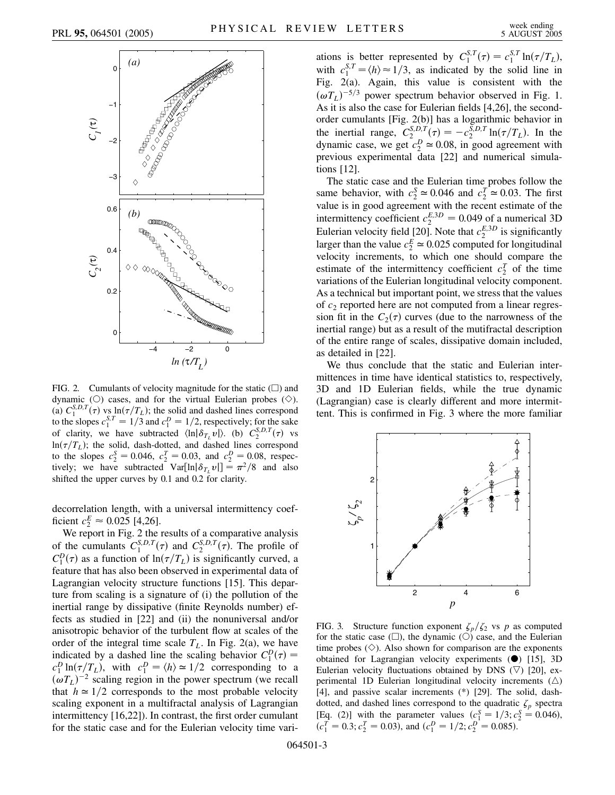

FIG. 2. Cumulants of velocity magnitude for the static  $(\square)$  and dynamic (O) cases, and for the virtual Eulerian probes  $(\diamondsuit)$ . (a)  $C_1^{S,D,T}(\tau)$  vs  $\ln(\tau/T_L)$ ; the solid and dashed lines correspond to the slopes  $c_1^{S,T} = 1/3$  and  $c_1^D = 1/2$ , respectively; for the sake of clarity, we have subtracted  $\langle \ln|\delta_{T_L} v| \rangle$ . (b)  $C_2^{S,D,T}(\tau)$  vs  $ln(\tau/T_L)$ ; the solid, dash-dotted, and dashed lines correspond to the slopes  $c_2^S = 0.046$ ,  $c_2^T = 0.03$ , and  $c_2^D = 0.08$ , respectively; we have subtracted  $Var[ln|\delta_{T_L} v|] = \pi^2/8$  and also shifted the upper curves by 0.1 and 0.2 for clarity.

decorrelation length, with a universal intermittency coefficient  $c_2^E \approx 0.025$  [4,26].

We report in Fig. 2 the results of a comparative analysis of the cumulants  $C_1^{S,D,T}(\tau)$  and  $C_2^{S,D,T}(\tau)$ . The profile of  $C_1^D(\tau)$  as a function of  $\ln(\tau/T_L)$  is significantly curved, a feature that has also been observed in experimental data of Lagrangian velocity structure functions [15]. This departure from scaling is a signature of (i) the pollution of the inertial range by dissipative (finite Reynolds number) effects as studied in [22] and (ii) the nonuniversal and/or anisotropic behavior of the turbulent flow at scales of the order of the integral time scale  $T_L$ . In Fig. 2(a), we have indicated by a dashed line the scaling behavior  $C_1^D(\tau)$  =  $c_1^D \ln(\tau/T_L)$ , with  $c_1^D = \langle h \rangle \approx 1/2$  corresponding to a  $(\omega T_L)^{-2}$  scaling region in the power spectrum (we recall that  $h \approx 1/2$  corresponds to the most probable velocity scaling exponent in a multifractal analysis of Lagrangian intermittency [16,22]). In contrast, the first order cumulant for the static case and for the Eulerian velocity time vari-

ations is better represented by  $C_1^{S,T}(\tau) = c_1^{S,T} \ln(\tau/T_L)$ , with  $c_1^{S,T} = \langle h \rangle \approx 1/3$ , as indicated by the solid line in Fig. 2(a). Again, this value is consistent with the  $(\omega T_L)^{-5/3}$  power spectrum behavior observed in Fig. 1. As it is also the case for Eulerian fields [4,26], the secondorder cumulants [Fig. 2(b)] has a logarithmic behavior in the inertial range,  $C_2^{S,D,T}(\tau) = -c_2^{S,D,T} \ln(\tau/T_L)$ . In the dynamic case, we get  $c_2^D \approx 0.08$ , in good agreement with previous experimental data [22] and numerical simulations [12].

The static case and the Eulerian time probes follow the same behavior, with  $c_2^S \approx 0.046$  and  $c_2^T \approx 0.03$ . The first value is in good agreement with the recent estimate of the intermittency coefficient  $c_2^{E,3D} = 0.049$  of a numerical 3D Eulerian velocity field [20]. Note that  $c_2^{E,3D}$  is significantly larger than the value  $c_2^E \approx 0.025$  computed for longitudinal velocity increments, to which one should compare the estimate of the intermittency coefficient  $c_2^T$  of the time variations of the Eulerian longitudinal velocity component. As a technical but important point, we stress that the values of *c*<sup>2</sup> reported here are not computed from a linear regression fit in the  $C_2(\tau)$  curves (due to the narrowness of the inertial range) but as a result of the mutifractal description of the entire range of scales, dissipative domain included, as detailed in [22].

We thus conclude that the static and Eulerian intermittences in time have identical statistics to, respectively, 3D and 1D Eulerian fields, while the true dynamic (Lagrangian) case is clearly different and more intermittent. This is confirmed in Fig. 3 where the more familiar



FIG. 3. Structure function exponent  $\zeta_p/\zeta_2$  vs *p* as computed for the static case  $(\Box)$ , the dynamic  $(\Diamond)$  case, and the Eulerian time probes  $(\diamondsuit)$ . Also shown for comparison are the exponents obtained for Lagrangian velocity experiments  $(•)$  [15], 3D Eulerian velocity fluctuations obtained by DNS  $(\nabla)$  [20], experimental 1D Eulerian longitudinal velocity increments  $(\triangle)$ [4], and passive scalar increments (\*) [29]. The solid, dashdotted, and dashed lines correspond to the quadratic  $\zeta_p$  spectra [Eq. (2)] with the parameter values  $(c_1^S = 1/3; c_2^S = 0.046)$ ,  $(c_1^T = 0.3; c_2^T = 0.03)$ , and  $(c_1^D = 1/2; c_2^D = 0.085)$ .